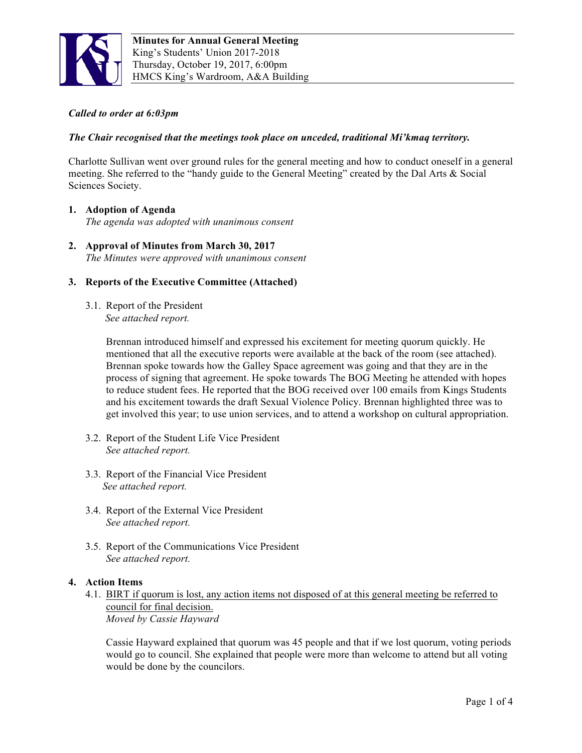

# *Called to order at 6:03pm*

# *The Chair recognised that the meetings took place on unceded, traditional Mi'kmaq territory.*

Charlotte Sullivan went over ground rules for the general meeting and how to conduct oneself in a general meeting. She referred to the "handy guide to the General Meeting" created by the Dal Arts & Social Sciences Society.

### **1. Adoption of Agenda**

*The agenda was adopted with unanimous consent*

**2. Approval of Minutes from March 30, 2017** *The Minutes were approved with unanimous consent* 

# **3. Reports of the Executive Committee (Attached)**

3.1. Report of the President *See attached report.* 

> Brennan introduced himself and expressed his excitement for meeting quorum quickly. He mentioned that all the executive reports were available at the back of the room (see attached). Brennan spoke towards how the Galley Space agreement was going and that they are in the process of signing that agreement. He spoke towards The BOG Meeting he attended with hopes to reduce student fees. He reported that the BOG received over 100 emails from Kings Students and his excitement towards the draft Sexual Violence Policy. Brennan highlighted three was to get involved this year; to use union services, and to attend a workshop on cultural appropriation.

- 3.2. Report of the Student Life Vice President *See attached report.*
- 3.3. Report of the Financial Vice President *See attached report.*
- 3.4. Report of the External Vice President *See attached report.*
- 3.5. Report of the Communications Vice President *See attached report.*

#### **4. Action Items**

4.1. BIRT if quorum is lost, any action items not disposed of at this general meeting be referred to council for final decision. *Moved by Cassie Hayward*

Cassie Hayward explained that quorum was 45 people and that if we lost quorum, voting periods would go to council. She explained that people were more than welcome to attend but all voting would be done by the councilors.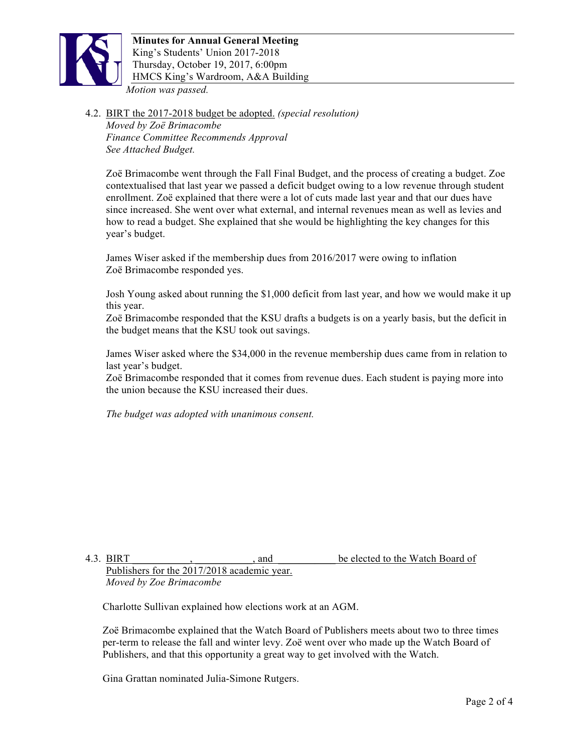

4.2. BIRT the 2017-2018 budget be adopted. *(special resolution) Moved by Zoë Brimacombe Finance Committee Recommends Approval See Attached Budget.*

Zoë Brimacombe went through the Fall Final Budget, and the process of creating a budget. Zoe contextualised that last year we passed a deficit budget owing to a low revenue through student enrollment. Zoë explained that there were a lot of cuts made last year and that our dues have since increased. She went over what external, and internal revenues mean as well as levies and how to read a budget. She explained that she would be highlighting the key changes for this year's budget.

James Wiser asked if the membership dues from 2016/2017 were owing to inflation Zoë Brimacombe responded yes.

Josh Young asked about running the \$1,000 deficit from last year, and how we would make it up this year.

Zoë Brimacombe responded that the KSU drafts a budgets is on a yearly basis, but the deficit in the budget means that the KSU took out savings.

James Wiser asked where the \$34,000 in the revenue membership dues came from in relation to last year's budget.

Zoë Brimacombe responded that it comes from revenue dues. Each student is paying more into the union because the KSU increased their dues.

*The budget was adopted with unanimous consent.*

4.3. BIRT All and the elected to the Watch Board of Publishers for the 2017/2018 academic year. *Moved by Zoe Brimacombe* 

Charlotte Sullivan explained how elections work at an AGM.

Zoë Brimacombe explained that the Watch Board of Publishers meets about two to three times per-term to release the fall and winter levy. Zoë went over who made up the Watch Board of Publishers, and that this opportunity a great way to get involved with the Watch.

Gina Grattan nominated Julia-Simone Rutgers.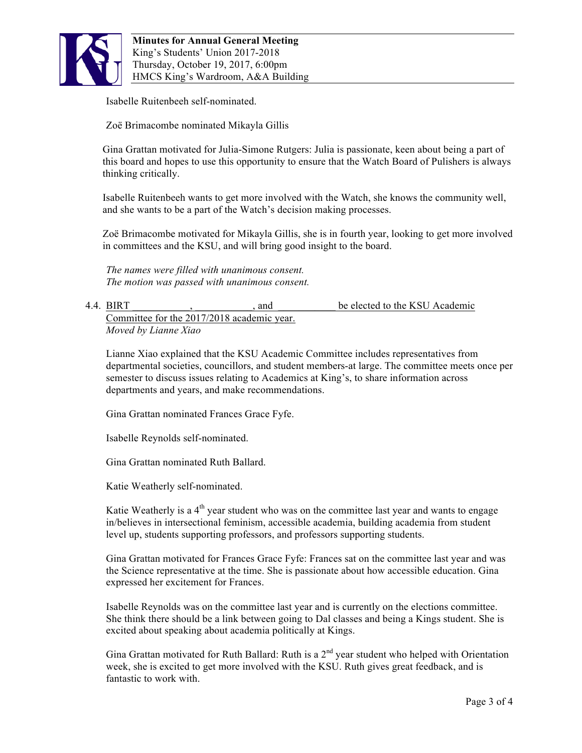

Isabelle Ruitenbeeh self-nominated.

Zoë Brimacombe nominated Mikayla Gillis

Gina Grattan motivated for Julia-Simone Rutgers: Julia is passionate, keen about being a part of this board and hopes to use this opportunity to ensure that the Watch Board of Pulishers is always thinking critically.

Isabelle Ruitenbeeh wants to get more involved with the Watch, she knows the community well, and she wants to be a part of the Watch's decision making processes.

Zoë Brimacombe motivated for Mikayla Gillis, she is in fourth year, looking to get more involved in committees and the KSU, and will bring good insight to the board.

*The names were filled with unanimous consent. The motion was passed with unanimous consent.*

### 4.4. BIRT All contract a set of the MSU Academic set of the KSU Academic set of the KSU Academic Committee for the 2017/2018 academic year. *Moved by Lianne Xiao*

Lianne Xiao explained that the KSU Academic Committee includes representatives from departmental societies, councillors, and student members-at large. The committee meets once per semester to discuss issues relating to Academics at King's, to share information across departments and years, and make recommendations.

Gina Grattan nominated Frances Grace Fyfe.

Isabelle Reynolds self-nominated.

Gina Grattan nominated Ruth Ballard.

Katie Weatherly self-nominated.

Katie Weatherly is a  $4<sup>th</sup>$  year student who was on the committee last year and wants to engage in/believes in intersectional feminism, accessible academia, building academia from student level up, students supporting professors, and professors supporting students.

Gina Grattan motivated for Frances Grace Fyfe: Frances sat on the committee last year and was the Science representative at the time. She is passionate about how accessible education. Gina expressed her excitement for Frances.

Isabelle Reynolds was on the committee last year and is currently on the elections committee. She think there should be a link between going to Dal classes and being a Kings student. She is excited about speaking about academia politically at Kings.

Gina Grattan motivated for Ruth Ballard: Ruth is a  $2<sup>nd</sup>$  year student who helped with Orientation week, she is excited to get more involved with the KSU. Ruth gives great feedback, and is fantastic to work with.